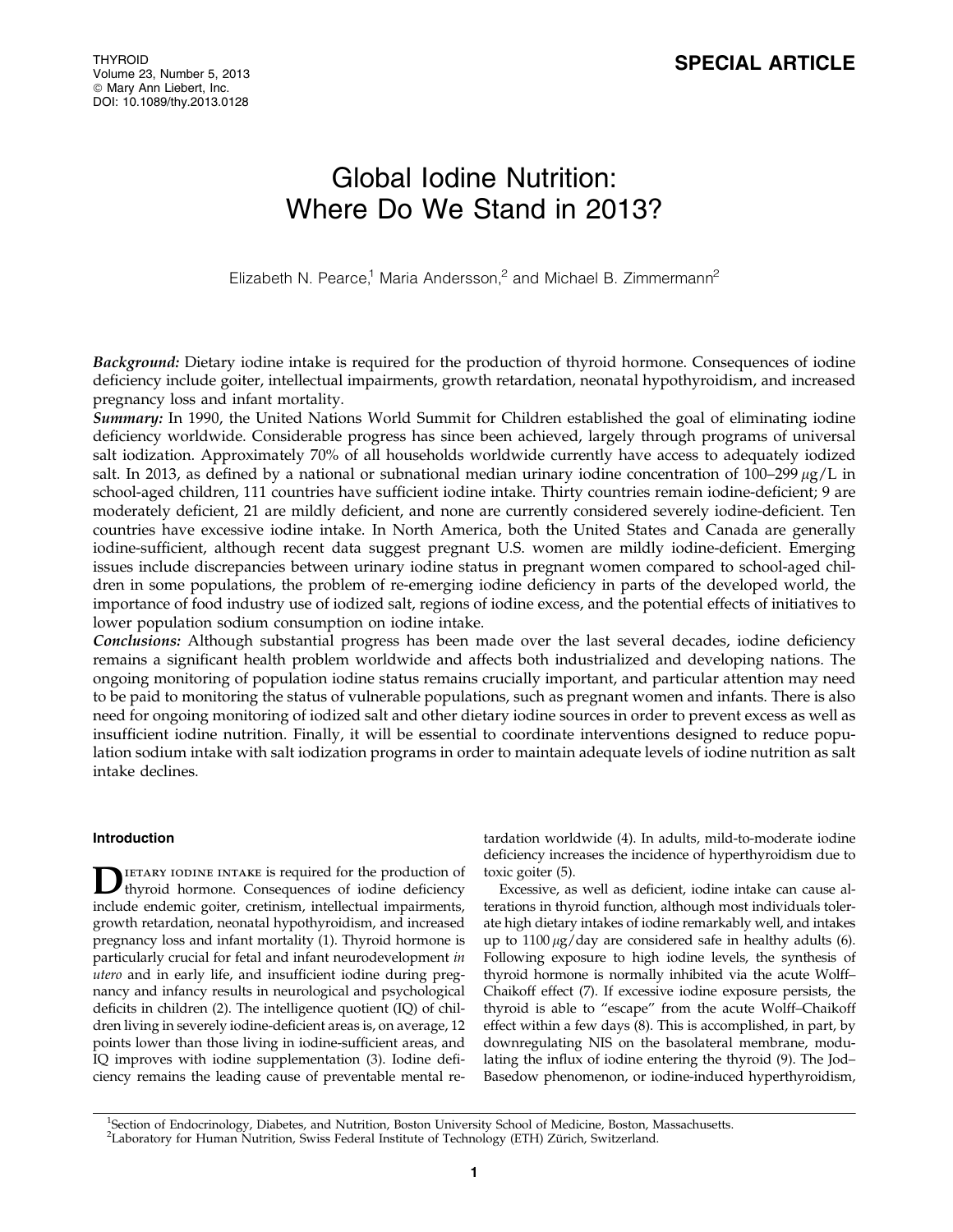# Global Iodine Nutrition: Where Do We Stand in 2013?

Elizabeth N. Pearce,<sup>1</sup> Maria Andersson,<sup>2</sup> and Michael B. Zimmermann<sup>2</sup>

Background: Dietary iodine intake is required for the production of thyroid hormone. Consequences of iodine deficiency include goiter, intellectual impairments, growth retardation, neonatal hypothyroidism, and increased pregnancy loss and infant mortality.

Summary: In 1990, the United Nations World Summit for Children established the goal of eliminating iodine deficiency worldwide. Considerable progress has since been achieved, largely through programs of universal salt iodization. Approximately 70% of all households worldwide currently have access to adequately iodized salt. In 2013, as defined by a national or subnational median urinary iodine concentration of 100–299  $\mu$ g/L in school-aged children, 111 countries have sufficient iodine intake. Thirty countries remain iodine-deficient; 9 are moderately deficient, 21 are mildly deficient, and none are currently considered severely iodine-deficient. Ten countries have excessive iodine intake. In North America, both the United States and Canada are generally iodine-sufficient, although recent data suggest pregnant U.S. women are mildly iodine-deficient. Emerging issues include discrepancies between urinary iodine status in pregnant women compared to school-aged children in some populations, the problem of re-emerging iodine deficiency in parts of the developed world, the importance of food industry use of iodized salt, regions of iodine excess, and the potential effects of initiatives to lower population sodium consumption on iodine intake.

Conclusions: Although substantial progress has been made over the last several decades, iodine deficiency remains a significant health problem worldwide and affects both industrialized and developing nations. The ongoing monitoring of population iodine status remains crucially important, and particular attention may need to be paid to monitoring the status of vulnerable populations, such as pregnant women and infants. There is also need for ongoing monitoring of iodized salt and other dietary iodine sources in order to prevent excess as well as insufficient iodine nutrition. Finally, it will be essential to coordinate interventions designed to reduce population sodium intake with salt iodization programs in order to maintain adequate levels of iodine nutrition as salt intake declines.

# Introduction

DIETARY IODINE INTAKE is required for the production of thyroid hormone. Consequences of iodine deficiency include endemic goiter, cretinism, intellectual impairments, growth retardation, neonatal hypothyroidism, and increased pregnancy loss and infant mortality (1). Thyroid hormone is particularly crucial for fetal and infant neurodevelopment in utero and in early life, and insufficient iodine during pregnancy and infancy results in neurological and psychological deficits in children (2). The intelligence quotient (IQ) of children living in severely iodine-deficient areas is, on average, 12 points lower than those living in iodine-sufficient areas, and IQ improves with iodine supplementation (3). Iodine deficiency remains the leading cause of preventable mental retardation worldwide (4). In adults, mild-to-moderate iodine deficiency increases the incidence of hyperthyroidism due to toxic goiter (5).

Excessive, as well as deficient, iodine intake can cause alterations in thyroid function, although most individuals tolerate high dietary intakes of iodine remarkably well, and intakes up to  $1100 \mu g$ /day are considered safe in healthy adults (6). Following exposure to high iodine levels, the synthesis of thyroid hormone is normally inhibited via the acute Wolff– Chaikoff effect (7). If excessive iodine exposure persists, the thyroid is able to ''escape'' from the acute Wolff–Chaikoff effect within a few days (8). This is accomplished, in part, by downregulating NIS on the basolateral membrane, modulating the influx of iodine entering the thyroid (9). The Jod– Basedow phenomenon, or iodine-induced hyperthyroidism,

<sup>1</sup>Section of Endocrinology, Diabetes, and Nutrition, Boston University School of Medicine, Boston, Massachusetts. <sup>2</sup>Laboratory for Human Nutrition, Swiss Federal Institute of Technology (ETH) Zürich, Switzerland.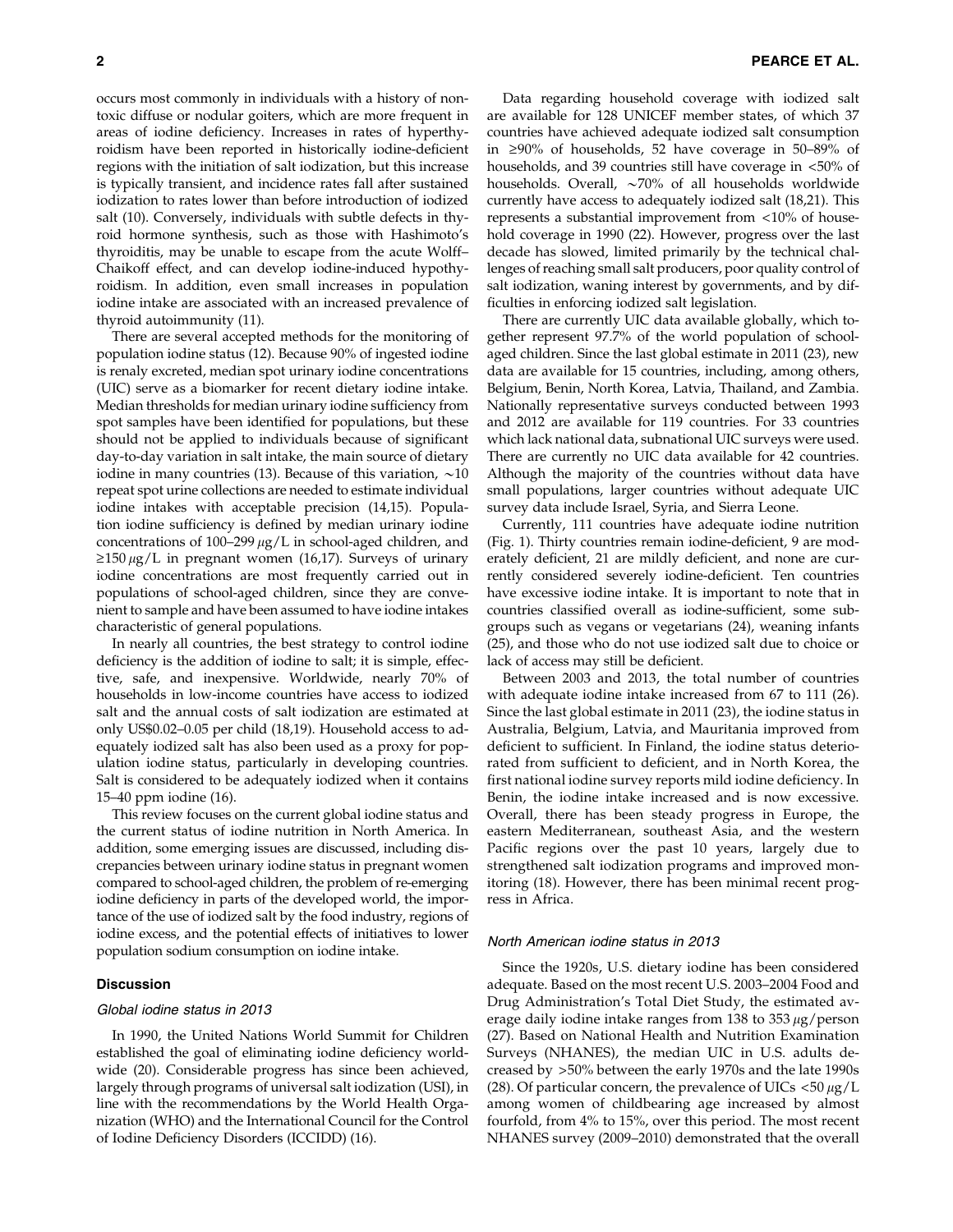occurs most commonly in individuals with a history of nontoxic diffuse or nodular goiters, which are more frequent in areas of iodine deficiency. Increases in rates of hyperthyroidism have been reported in historically iodine-deficient regions with the initiation of salt iodization, but this increase is typically transient, and incidence rates fall after sustained iodization to rates lower than before introduction of iodized salt (10). Conversely, individuals with subtle defects in thyroid hormone synthesis, such as those with Hashimoto's thyroiditis, may be unable to escape from the acute Wolff– Chaikoff effect, and can develop iodine-induced hypothyroidism. In addition, even small increases in population iodine intake are associated with an increased prevalence of thyroid autoimmunity (11).

There are several accepted methods for the monitoring of population iodine status (12). Because 90% of ingested iodine is renaly excreted, median spot urinary iodine concentrations (UIC) serve as a biomarker for recent dietary iodine intake. Median thresholds for median urinary iodine sufficiency from spot samples have been identified for populations, but these should not be applied to individuals because of significant day-to-day variation in salt intake, the main source of dietary iodine in many countries (13). Because of this variation,  $\sim$ 10 repeat spot urine collections are needed to estimate individual iodine intakes with acceptable precision (14,15). Population iodine sufficiency is defined by median urinary iodine concentrations of 100-299  $\mu$ g/L in school-aged children, and  $\geq$ 150  $\mu$ g/L in pregnant women (16,17). Surveys of urinary iodine concentrations are most frequently carried out in populations of school-aged children, since they are convenient to sample and have been assumed to have iodine intakes characteristic of general populations.

In nearly all countries, the best strategy to control iodine deficiency is the addition of iodine to salt; it is simple, effective, safe, and inexpensive. Worldwide, nearly 70% of households in low-income countries have access to iodized salt and the annual costs of salt iodization are estimated at only US\$0.02–0.05 per child (18,19). Household access to adequately iodized salt has also been used as a proxy for population iodine status, particularly in developing countries. Salt is considered to be adequately iodized when it contains 15–40 ppm iodine (16).

This review focuses on the current global iodine status and the current status of iodine nutrition in North America. In addition, some emerging issues are discussed, including discrepancies between urinary iodine status in pregnant women compared to school-aged children, the problem of re-emerging iodine deficiency in parts of the developed world, the importance of the use of iodized salt by the food industry, regions of iodine excess, and the potential effects of initiatives to lower population sodium consumption on iodine intake.

#### Discussion

## Global iodine status in 2013

In 1990, the United Nations World Summit for Children established the goal of eliminating iodine deficiency worldwide (20). Considerable progress has since been achieved, largely through programs of universal salt iodization (USI), in line with the recommendations by the World Health Organization (WHO) and the International Council for the Control of Iodine Deficiency Disorders (ICCIDD) (16).

Data regarding household coverage with iodized salt are available for 128 UNICEF member states, of which 37 countries have achieved adequate iodized salt consumption in  $\geq 90\%$  of households, 52 have coverage in 50–89% of households, and 39 countries still have coverage in <50% of households. Overall,  $\sim$ 70% of all households worldwide currently have access to adequately iodized salt (18,21). This represents a substantial improvement from <10% of household coverage in 1990 (22). However, progress over the last decade has slowed, limited primarily by the technical challenges of reaching small salt producers, poor quality control of salt iodization, waning interest by governments, and by difficulties in enforcing iodized salt legislation.

There are currently UIC data available globally, which together represent 97.7% of the world population of schoolaged children. Since the last global estimate in 2011 (23), new data are available for 15 countries, including, among others, Belgium, Benin, North Korea, Latvia, Thailand, and Zambia. Nationally representative surveys conducted between 1993 and 2012 are available for 119 countries. For 33 countries which lack national data, subnational UIC surveys were used. There are currently no UIC data available for 42 countries. Although the majority of the countries without data have small populations, larger countries without adequate UIC survey data include Israel, Syria, and Sierra Leone.

Currently, 111 countries have adequate iodine nutrition (Fig. 1). Thirty countries remain iodine-deficient, 9 are moderately deficient, 21 are mildly deficient, and none are currently considered severely iodine-deficient. Ten countries have excessive iodine intake. It is important to note that in countries classified overall as iodine-sufficient, some subgroups such as vegans or vegetarians (24), weaning infants (25), and those who do not use iodized salt due to choice or lack of access may still be deficient.

Between 2003 and 2013, the total number of countries with adequate iodine intake increased from 67 to 111 (26). Since the last global estimate in 2011 (23), the iodine status in Australia, Belgium, Latvia, and Mauritania improved from deficient to sufficient. In Finland, the iodine status deteriorated from sufficient to deficient, and in North Korea, the first national iodine survey reports mild iodine deficiency. In Benin, the iodine intake increased and is now excessive. Overall, there has been steady progress in Europe, the eastern Mediterranean, southeast Asia, and the western Pacific regions over the past 10 years, largely due to strengthened salt iodization programs and improved monitoring (18). However, there has been minimal recent progress in Africa.

#### North American iodine status in 2013

Since the 1920s, U.S. dietary iodine has been considered adequate. Based on the most recent U.S. 2003–2004 Food and Drug Administration's Total Diet Study, the estimated average daily iodine intake ranges from  $138$  to  $353 \mu$ g/person (27). Based on National Health and Nutrition Examination Surveys (NHANES), the median UIC in U.S. adults decreased by >50% between the early 1970s and the late 1990s (28). Of particular concern, the prevalence of UICs  $\langle 50 \mu g/L \rangle$ among women of childbearing age increased by almost fourfold, from 4% to 15%, over this period. The most recent NHANES survey (2009–2010) demonstrated that the overall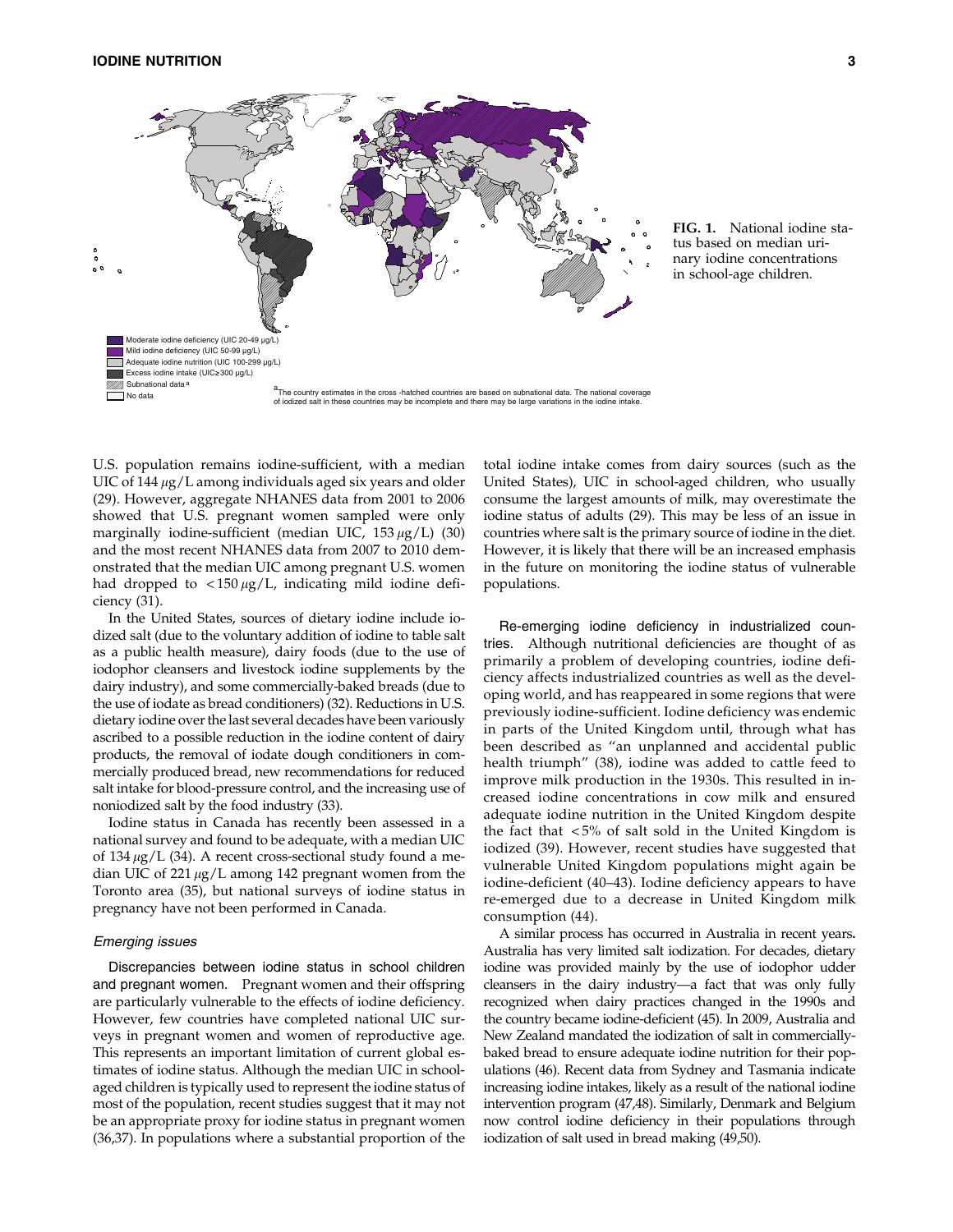

FIG. 1. National iodine status based on median urinary iodine concentrations in school-age children.

U.S. population remains iodine-sufficient, with a median UIC of  $144 \mu g/L$  among individuals aged six years and older (29). However, aggregate NHANES data from 2001 to 2006 showed that U.S. pregnant women sampled were only marginally iodine-sufficient (median UIC,  $153 \mu g/L$ ) (30) and the most recent NHANES data from 2007 to 2010 demonstrated that the median UIC among pregnant U.S. women had dropped to  $\langle 150 \mu g/L \rangle$  indicating mild iodine deficiency (31).

In the United States, sources of dietary iodine include iodized salt (due to the voluntary addition of iodine to table salt as a public health measure), dairy foods (due to the use of iodophor cleansers and livestock iodine supplements by the dairy industry), and some commercially-baked breads (due to the use of iodate as bread conditioners) (32). Reductions in U.S. dietary iodine over the last several decades have been variously ascribed to a possible reduction in the iodine content of dairy products, the removal of iodate dough conditioners in commercially produced bread, new recommendations for reduced salt intake for blood-pressure control, and the increasing use of noniodized salt by the food industry (33).

Iodine status in Canada has recently been assessed in a national survey and found to be adequate, with a median UIC of 134  $\mu$ g/L (34). A recent cross-sectional study found a median UIC of 221  $\mu$ g/L among 142 pregnant women from the Toronto area (35), but national surveys of iodine status in pregnancy have not been performed in Canada.

### Emerging issues

Discrepancies between iodine status in school children and pregnant women. Pregnant women and their offspring are particularly vulnerable to the effects of iodine deficiency. However, few countries have completed national UIC surveys in pregnant women and women of reproductive age. This represents an important limitation of current global estimates of iodine status. Although the median UIC in schoolaged children is typically used to represent the iodine status of most of the population, recent studies suggest that it may not be an appropriate proxy for iodine status in pregnant women (36,37). In populations where a substantial proportion of the total iodine intake comes from dairy sources (such as the United States), UIC in school-aged children, who usually consume the largest amounts of milk, may overestimate the iodine status of adults (29). This may be less of an issue in countries where salt is the primary source of iodine in the diet. However, it is likely that there will be an increased emphasis in the future on monitoring the iodine status of vulnerable populations.

Re-emerging iodine deficiency in industrialized countries. Although nutritional deficiencies are thought of as primarily a problem of developing countries, iodine deficiency affects industrialized countries as well as the developing world, and has reappeared in some regions that were previously iodine-sufficient. Iodine deficiency was endemic in parts of the United Kingdom until, through what has been described as ''an unplanned and accidental public health triumph'' (38), iodine was added to cattle feed to improve milk production in the 1930s. This resulted in increased iodine concentrations in cow milk and ensured adequate iodine nutrition in the United Kingdom despite the fact that  $\langle 5\% \rangle$  of salt sold in the United Kingdom is iodized (39). However, recent studies have suggested that vulnerable United Kingdom populations might again be iodine-deficient (40–43). Iodine deficiency appears to have re-emerged due to a decrease in United Kingdom milk consumption (44).

A similar process has occurred in Australia in recent years. Australia has very limited salt iodization. For decades, dietary iodine was provided mainly by the use of iodophor udder cleansers in the dairy industry—a fact that was only fully recognized when dairy practices changed in the 1990s and the country became iodine-deficient (45). In 2009, Australia and New Zealand mandated the iodization of salt in commerciallybaked bread to ensure adequate iodine nutrition for their populations (46). Recent data from Sydney and Tasmania indicate increasing iodine intakes, likely as a result of the national iodine intervention program (47,48). Similarly, Denmark and Belgium now control iodine deficiency in their populations through iodization of salt used in bread making (49,50).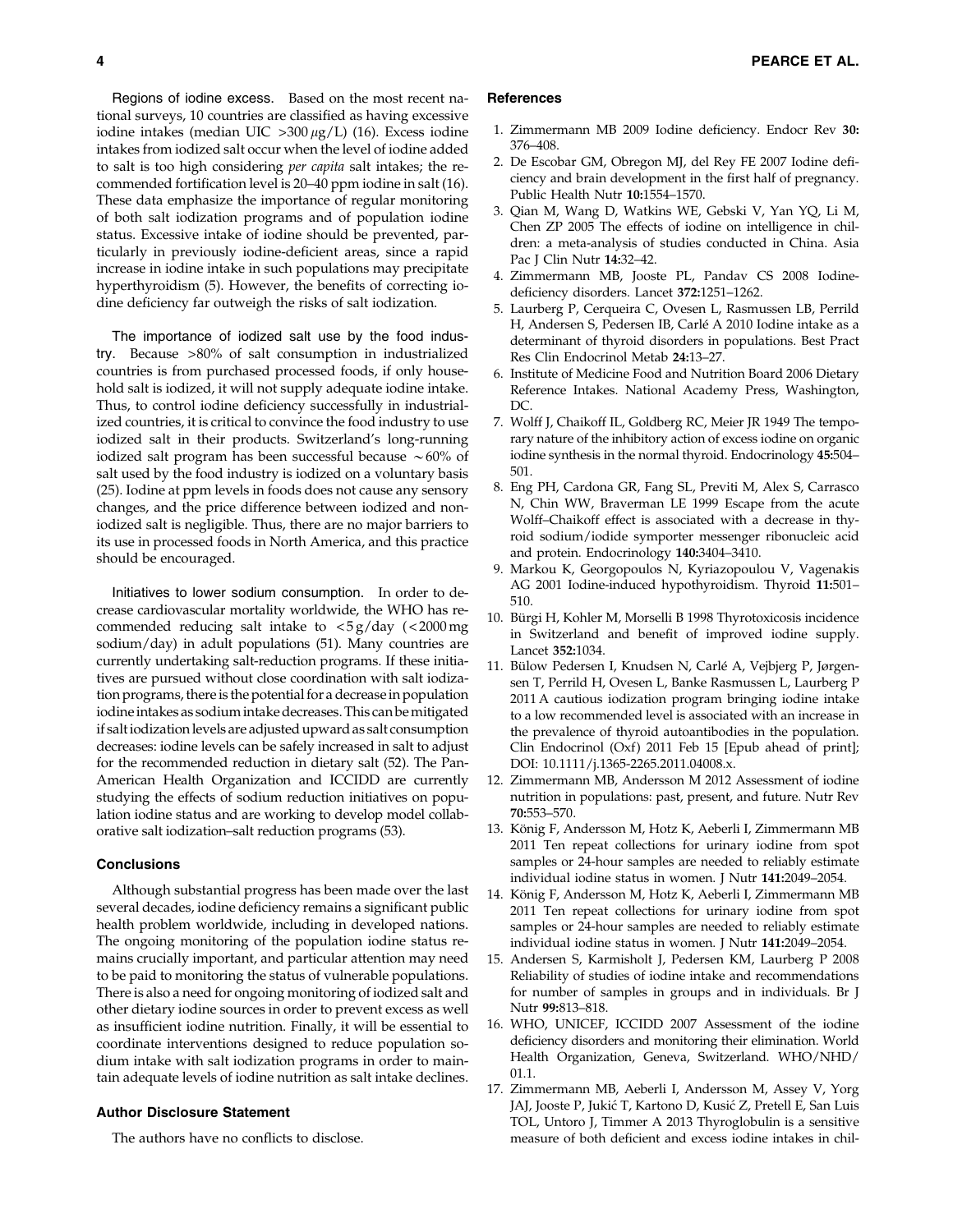Regions of iodine excess. Based on the most recent national surveys, 10 countries are classified as having excessive iodine intakes (median UIC  $>300 \mu g/L$ ) (16). Excess iodine intakes from iodized salt occur when the level of iodine added to salt is too high considering per capita salt intakes; the recommended fortification level is 20–40 ppm iodine in salt (16). These data emphasize the importance of regular monitoring of both salt iodization programs and of population iodine status. Excessive intake of iodine should be prevented, particularly in previously iodine-deficient areas, since a rapid increase in iodine intake in such populations may precipitate hyperthyroidism (5). However, the benefits of correcting iodine deficiency far outweigh the risks of salt iodization.

The importance of iodized salt use by the food industry. Because >80% of salt consumption in industrialized countries is from purchased processed foods, if only household salt is iodized, it will not supply adequate iodine intake. Thus, to control iodine deficiency successfully in industrialized countries, it is critical to convince the food industry to use iodized salt in their products. Switzerland's long-running iodized salt program has been successful because  $\sim60\%$  of salt used by the food industry is iodized on a voluntary basis (25). Iodine at ppm levels in foods does not cause any sensory changes, and the price difference between iodized and noniodized salt is negligible. Thus, there are no major barriers to its use in processed foods in North America, and this practice should be encouraged.

Initiatives to lower sodium consumption. In order to decrease cardiovascular mortality worldwide, the WHO has recommended reducing salt intake to  $\langle 5 \text{ g}/\text{day} \rangle$  ( $\langle 2000 \text{ mg} \rangle$ sodium/day) in adult populations (51). Many countries are currently undertaking salt-reduction programs. If these initiatives are pursued without close coordination with salt iodization programs, there is the potential for a decrease in population iodine intakes as sodium intake decreases. This can be mitigated if saltiodization levels are adjusted upward as salt consumption decreases: iodine levels can be safely increased in salt to adjust for the recommended reduction in dietary salt (52). The Pan-American Health Organization and ICCIDD are currently studying the effects of sodium reduction initiatives on population iodine status and are working to develop model collaborative salt iodization–salt reduction programs (53).

## **Conclusions**

Although substantial progress has been made over the last several decades, iodine deficiency remains a significant public health problem worldwide, including in developed nations. The ongoing monitoring of the population iodine status remains crucially important, and particular attention may need to be paid to monitoring the status of vulnerable populations. There is also a need for ongoing monitoring of iodized salt and other dietary iodine sources in order to prevent excess as well as insufficient iodine nutrition. Finally, it will be essential to coordinate interventions designed to reduce population sodium intake with salt iodization programs in order to maintain adequate levels of iodine nutrition as salt intake declines.

## Author Disclosure Statement

The authors have no conflicts to disclose.

## **References**

- 1. Zimmermann MB 2009 Iodine deficiency. Endocr Rev 30: 376–408.
- 2. De Escobar GM, Obregon MJ, del Rey FE 2007 Iodine deficiency and brain development in the first half of pregnancy. Public Health Nutr 10:1554–1570.
- 3. Qian M, Wang D, Watkins WE, Gebski V, Yan YQ, Li M, Chen ZP 2005 The effects of iodine on intelligence in children: a meta-analysis of studies conducted in China. Asia Pac J Clin Nutr 14:32–42.
- 4. Zimmermann MB, Jooste PL, Pandav CS 2008 Iodinedeficiency disorders. Lancet 372:1251–1262.
- 5. Laurberg P, Cerqueira C, Ovesen L, Rasmussen LB, Perrild H, Andersen S, Pedersen IB, Carlé A 2010 Iodine intake as a determinant of thyroid disorders in populations. Best Pract Res Clin Endocrinol Metab 24:13–27.
- 6. Institute of Medicine Food and Nutrition Board 2006 Dietary Reference Intakes. National Academy Press, Washington, DC.
- 7. Wolff J, Chaikoff IL, Goldberg RC, Meier JR 1949 The temporary nature of the inhibitory action of excess iodine on organic iodine synthesis in the normal thyroid. Endocrinology 45:504– 501.
- 8. Eng PH, Cardona GR, Fang SL, Previti M, Alex S, Carrasco N, Chin WW, Braverman LE 1999 Escape from the acute Wolff–Chaikoff effect is associated with a decrease in thyroid sodium/iodide symporter messenger ribonucleic acid and protein. Endocrinology 140:3404–3410.
- 9. Markou K, Georgopoulos N, Kyriazopoulou V, Vagenakis AG 2001 Iodine-induced hypothyroidism. Thyroid 11:501– 510.
- 10. Bürgi H, Kohler M, Morselli B 1998 Thyrotoxicosis incidence in Switzerland and benefit of improved iodine supply. Lancet 352:1034.
- 11. Bülow Pedersen I, Knudsen N, Carlé A, Vejbjerg P, Jørgensen T, Perrild H, Ovesen L, Banke Rasmussen L, Laurberg P 2011 A cautious iodization program bringing iodine intake to a low recommended level is associated with an increase in the prevalence of thyroid autoantibodies in the population. Clin Endocrinol (Oxf) 2011 Feb 15 [Epub ahead of print]; DOI: 10.1111/j.1365-2265.2011.04008.x.
- 12. Zimmermann MB, Andersson M 2012 Assessment of iodine nutrition in populations: past, present, and future. Nutr Rev 70:553–570.
- 13. König F, Andersson M, Hotz K, Aeberli I, Zimmermann MB 2011 Ten repeat collections for urinary iodine from spot samples or 24-hour samples are needed to reliably estimate individual iodine status in women. J Nutr 141:2049–2054.
- 14. König F, Andersson M, Hotz K, Aeberli I, Zimmermann MB 2011 Ten repeat collections for urinary iodine from spot samples or 24-hour samples are needed to reliably estimate individual iodine status in women. J Nutr 141:2049–2054.
- 15. Andersen S, Karmisholt J, Pedersen KM, Laurberg P 2008 Reliability of studies of iodine intake and recommendations for number of samples in groups and in individuals. Br J Nutr 99:813–818.
- 16. WHO, UNICEF, ICCIDD 2007 Assessment of the iodine deficiency disorders and monitoring their elimination. World Health Organization, Geneva, Switzerland. WHO/NHD/ 01.1.
- 17. Zimmermann MB, Aeberli I, Andersson M, Assey V, Yorg JAJ, Jooste P, Jukić T, Kartono D, Kusić Z, Pretell E, San Luis TOL, Untoro J, Timmer A 2013 Thyroglobulin is a sensitive measure of both deficient and excess iodine intakes in chil-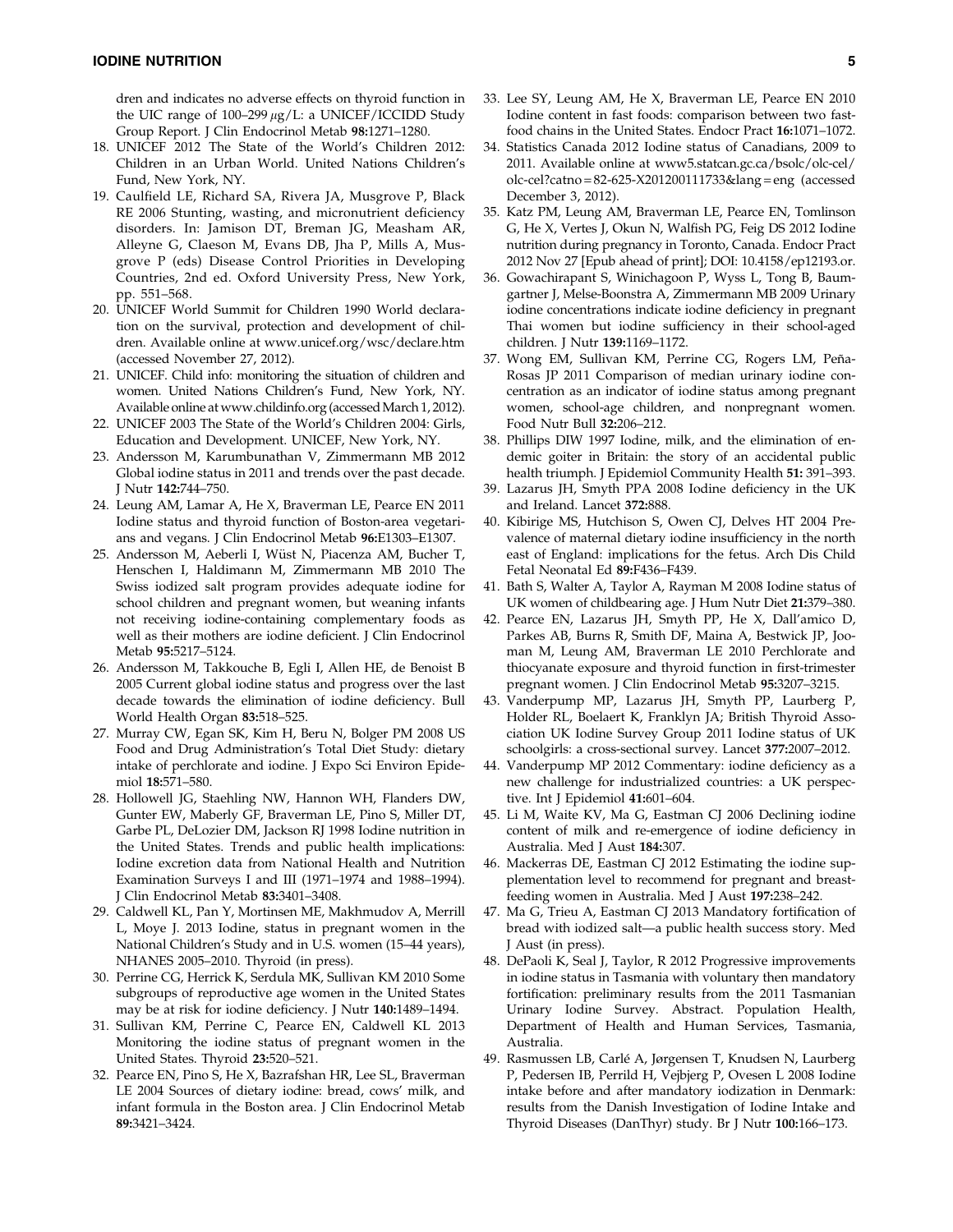dren and indicates no adverse effects on thyroid function in the UIC range of  $100-299 \mu g/L$ : a UNICEF/ICCIDD Study Group Report. J Clin Endocrinol Metab 98:1271–1280.

- 18. UNICEF 2012 The State of the World's Children 2012: Children in an Urban World. United Nations Children's Fund, New York, NY.
- 19. Caulfield LE, Richard SA, Rivera JA, Musgrove P, Black RE 2006 Stunting, wasting, and micronutrient deficiency disorders. In: Jamison DT, Breman JG, Measham AR, Alleyne G, Claeson M, Evans DB, Jha P, Mills A, Musgrove P (eds) Disease Control Priorities in Developing Countries, 2nd ed. Oxford University Press, New York, pp. 551–568.
- 20. UNICEF World Summit for Children 1990 World declaration on the survival, protection and development of children. Available online at www.unicef.org/wsc/declare.htm (accessed November 27, 2012).
- 21. UNICEF. Child info: monitoring the situation of children and women. United Nations Children's Fund, New York, NY. Available online at www.childinfo.org (accessed March 1, 2012).
- 22. UNICEF 2003 The State of the World's Children 2004: Girls, Education and Development. UNICEF, New York, NY.
- 23. Andersson M, Karumbunathan V, Zimmermann MB 2012 Global iodine status in 2011 and trends over the past decade. J Nutr 142:744–750.
- 24. Leung AM, Lamar A, He X, Braverman LE, Pearce EN 2011 Iodine status and thyroid function of Boston-area vegetarians and vegans. J Clin Endocrinol Metab 96:E1303–E1307.
- 25. Andersson M, Aeberli I, Wüst N, Piacenza AM, Bucher T, Henschen I, Haldimann M, Zimmermann MB 2010 The Swiss iodized salt program provides adequate iodine for school children and pregnant women, but weaning infants not receiving iodine-containing complementary foods as well as their mothers are iodine deficient. J Clin Endocrinol Metab 95:5217–5124.
- 26. Andersson M, Takkouche B, Egli I, Allen HE, de Benoist B 2005 Current global iodine status and progress over the last decade towards the elimination of iodine deficiency. Bull World Health Organ 83:518–525.
- 27. Murray CW, Egan SK, Kim H, Beru N, Bolger PM 2008 US Food and Drug Administration's Total Diet Study: dietary intake of perchlorate and iodine. J Expo Sci Environ Epidemiol 18:571–580.
- 28. Hollowell JG, Staehling NW, Hannon WH, Flanders DW, Gunter EW, Maberly GF, Braverman LE, Pino S, Miller DT, Garbe PL, DeLozier DM, Jackson RJ 1998 Iodine nutrition in the United States. Trends and public health implications: Iodine excretion data from National Health and Nutrition Examination Surveys I and III (1971–1974 and 1988–1994). J Clin Endocrinol Metab 83:3401–3408.
- 29. Caldwell KL, Pan Y, Mortinsen ME, Makhmudov A, Merrill L, Moye J. 2013 Iodine, status in pregnant women in the National Children's Study and in U.S. women (15–44 years), NHANES 2005–2010. Thyroid (in press).
- 30. Perrine CG, Herrick K, Serdula MK, Sullivan KM 2010 Some subgroups of reproductive age women in the United States may be at risk for iodine deficiency. J Nutr 140:1489–1494.
- 31. Sullivan KM, Perrine C, Pearce EN, Caldwell KL 2013 Monitoring the iodine status of pregnant women in the United States. Thyroid 23:520–521.
- 32. Pearce EN, Pino S, He X, Bazrafshan HR, Lee SL, Braverman LE 2004 Sources of dietary iodine: bread, cows' milk, and infant formula in the Boston area. J Clin Endocrinol Metab 89:3421–3424.
- 33. Lee SY, Leung AM, He X, Braverman LE, Pearce EN 2010 Iodine content in fast foods: comparison between two fastfood chains in the United States. Endocr Pract 16:1071–1072.
- 34. Statistics Canada 2012 Iodine status of Canadians, 2009 to 2011. Available online at www5.statcan.gc.ca/bsolc/olc-cel/ olc-cel?catno = 82-625-X201200111733&lang = eng (accessed December 3, 2012).
- 35. Katz PM, Leung AM, Braverman LE, Pearce EN, Tomlinson G, He X, Vertes J, Okun N, Walfish PG, Feig DS 2012 Iodine nutrition during pregnancy in Toronto, Canada. Endocr Pract 2012 Nov 27 [Epub ahead of print]; DOI: 10.4158/ep12193.or.
- 36. Gowachirapant S, Winichagoon P, Wyss L, Tong B, Baumgartner J, Melse-Boonstra A, Zimmermann MB 2009 Urinary iodine concentrations indicate iodine deficiency in pregnant Thai women but iodine sufficiency in their school-aged children. J Nutr 139:1169–1172.
- 37. Wong EM, Sullivan KM, Perrine CG, Rogers LM, Peña-Rosas JP 2011 Comparison of median urinary iodine concentration as an indicator of iodine status among pregnant women, school-age children, and nonpregnant women. Food Nutr Bull 32:206–212.
- 38. Phillips DIW 1997 Iodine, milk, and the elimination of endemic goiter in Britain: the story of an accidental public health triumph. J Epidemiol Community Health 51: 391–393.
- 39. Lazarus JH, Smyth PPA 2008 Iodine deficiency in the UK and Ireland. Lancet 372:888.
- 40. Kibirige MS, Hutchison S, Owen CJ, Delves HT 2004 Prevalence of maternal dietary iodine insufficiency in the north east of England: implications for the fetus. Arch Dis Child Fetal Neonatal Ed 89:F436–F439.
- 41. Bath S, Walter A, Taylor A, Rayman M 2008 Iodine status of UK women of childbearing age. J Hum Nutr Diet 21:379–380.
- 42. Pearce EN, Lazarus JH, Smyth PP, He X, Dall'amico D, Parkes AB, Burns R, Smith DF, Maina A, Bestwick JP, Jooman M, Leung AM, Braverman LE 2010 Perchlorate and thiocyanate exposure and thyroid function in first-trimester pregnant women. J Clin Endocrinol Metab 95:3207–3215.
- 43. Vanderpump MP, Lazarus JH, Smyth PP, Laurberg P, Holder RL, Boelaert K, Franklyn JA; British Thyroid Association UK Iodine Survey Group 2011 Iodine status of UK schoolgirls: a cross-sectional survey. Lancet 377:2007–2012.
- 44. Vanderpump MP 2012 Commentary: iodine deficiency as a new challenge for industrialized countries: a UK perspective. Int J Epidemiol 41:601–604.
- 45. Li M, Waite KV, Ma G, Eastman CJ 2006 Declining iodine content of milk and re-emergence of iodine deficiency in Australia. Med J Aust 184:307.
- 46. Mackerras DE, Eastman CJ 2012 Estimating the iodine supplementation level to recommend for pregnant and breastfeeding women in Australia. Med J Aust 197:238–242.
- 47. Ma G, Trieu A, Eastman CJ 2013 Mandatory fortification of bread with iodized salt—a public health success story. Med J Aust (in press).
- 48. DePaoli K, Seal J, Taylor, R 2012 Progressive improvements in iodine status in Tasmania with voluntary then mandatory fortification: preliminary results from the 2011 Tasmanian Urinary Iodine Survey. Abstract. Population Health, Department of Health and Human Services, Tasmania, Australia.
- 49. Rasmussen LB, Carlé A, Jørgensen T, Knudsen N, Laurberg P, Pedersen IB, Perrild H, Vejbjerg P, Ovesen L 2008 Iodine intake before and after mandatory iodization in Denmark: results from the Danish Investigation of Iodine Intake and Thyroid Diseases (DanThyr) study. Br J Nutr 100:166–173.